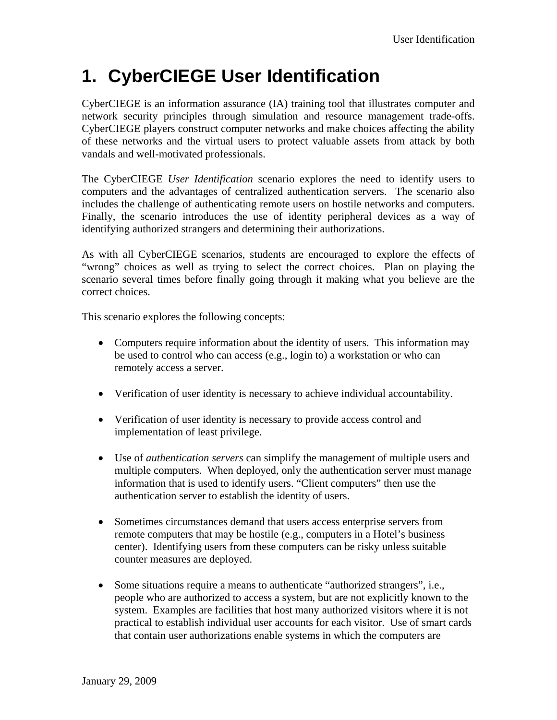## **1. CyberCIEGE User Identification**

CyberCIEGE is an information assurance (IA) training tool that illustrates computer and network security principles through simulation and resource management trade-offs. CyberCIEGE players construct computer networks and make choices affecting the ability of these networks and the virtual users to protect valuable assets from attack by both vandals and well-motivated professionals.

The CyberCIEGE *User Identification* scenario explores the need to identify users to computers and the advantages of centralized authentication servers. The scenario also includes the challenge of authenticating remote users on hostile networks and computers. Finally, the scenario introduces the use of identity peripheral devices as a way of identifying authorized strangers and determining their authorizations.

As with all CyberCIEGE scenarios, students are encouraged to explore the effects of "wrong" choices as well as trying to select the correct choices. Plan on playing the scenario several times before finally going through it making what you believe are the correct choices.

This scenario explores the following concepts:

- Computers require information about the identity of users. This information may be used to control who can access (e.g., login to) a workstation or who can remotely access a server.
- Verification of user identity is necessary to achieve individual accountability.
- Verification of user identity is necessary to provide access control and implementation of least privilege.
- Use of *authentication servers* can simplify the management of multiple users and multiple computers. When deployed, only the authentication server must manage information that is used to identify users. "Client computers" then use the authentication server to establish the identity of users.
- Sometimes circumstances demand that users access enterprise servers from remote computers that may be hostile (e.g., computers in a Hotel's business center). Identifying users from these computers can be risky unless suitable counter measures are deployed.
- Some situations require a means to authenticate "authorized strangers", i.e., people who are authorized to access a system, but are not explicitly known to the system. Examples are facilities that host many authorized visitors where it is not practical to establish individual user accounts for each visitor. Use of smart cards that contain user authorizations enable systems in which the computers are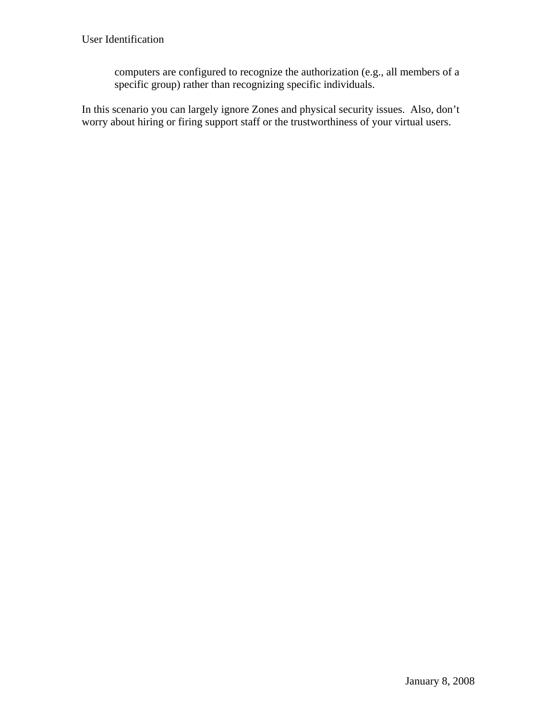computers are configured to recognize the authorization (e.g., all members of a specific group) rather than recognizing specific individuals.

In this scenario you can largely ignore Zones and physical security issues. Also, don't worry about hiring or firing support staff or the trustworthiness of your virtual users.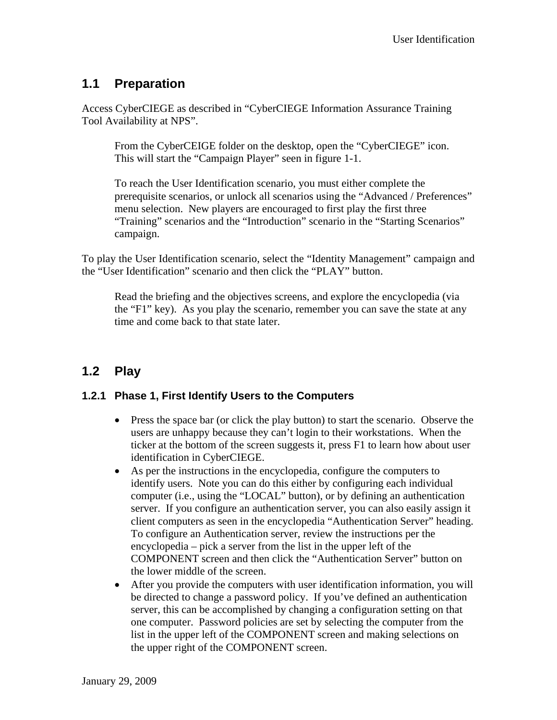### **1.1 Preparation**

Access CyberCIEGE as described in "CyberCIEGE Information Assurance Training Tool Availability at NPS".

From the CyberCEIGE folder on the desktop, open the "CyberCIEGE" icon. This will start the "Campaign Player" seen in figure 1-1.

To reach the User Identification scenario, you must either complete the prerequisite scenarios, or unlock all scenarios using the "Advanced / Preferences" menu selection. New players are encouraged to first play the first three "Training" scenarios and the "Introduction" scenario in the "Starting Scenarios" campaign.

To play the User Identification scenario, select the "Identity Management" campaign and the "User Identification" scenario and then click the "PLAY" button.

Read the briefing and the objectives screens, and explore the encyclopedia (via the "F1" key). As you play the scenario, remember you can save the state at any time and come back to that state later.

## **1.2 Play**

#### **1.2.1 Phase 1, First Identify Users to the Computers**

- Press the space bar (or click the play button) to start the scenario. Observe the users are unhappy because they can't login to their workstations. When the ticker at the bottom of the screen suggests it, press F1 to learn how about user identification in CyberCIEGE.
- As per the instructions in the encyclopedia, configure the computers to identify users. Note you can do this either by configuring each individual computer (i.e., using the "LOCAL" button), or by defining an authentication server. If you configure an authentication server, you can also easily assign it client computers as seen in the encyclopedia "Authentication Server" heading. To configure an Authentication server, review the instructions per the encyclopedia – pick a server from the list in the upper left of the COMPONENT screen and then click the "Authentication Server" button on the lower middle of the screen.
- After you provide the computers with user identification information, you will be directed to change a password policy. If you've defined an authentication server, this can be accomplished by changing a configuration setting on that one computer. Password policies are set by selecting the computer from the list in the upper left of the COMPONENT screen and making selections on the upper right of the COMPONENT screen.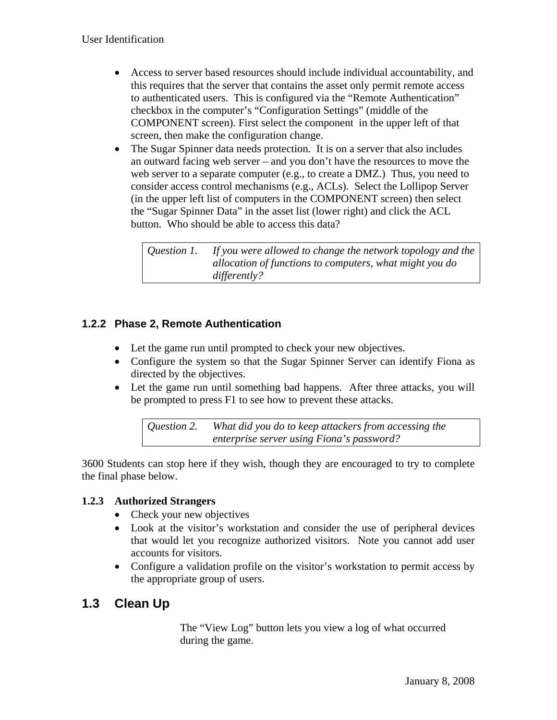- Access to server based resources should include individual accountability, and this requires that the server that contains the asset only permit remote access to authenticated users. This is configured via the "Remote Authentication" checkbox in the computer's "Configuration Settings" (middle of the COMPONENT screen). First select the component in the upper left of that screen, then make the configuration change.
- The Sugar Spinner data needs protection. It is on a server that also includes an outward facing web server – and you don't have the resources to move the web server to a separate computer (e.g., to create a DMZ.) Thus, you need to consider access control mechanisms (e.g., ACLs). Select the Lollipop Server (in the upper left list of computers in the COMPONENT screen) then select the "Sugar Spinner Data" in the asset list (lower right) and click the ACL button. Who should be able to access this data?

*Question 1. If you were allowed to change the network topology and the allocation of functions to computers, what might you do differently?*

#### **1.2.2 Phase 2, Remote Authentication**

- Let the game run until prompted to check your new objectives.
- Configure the system so that the Sugar Spinner Server can identify Fiona as directed by the objectives.
- Let the game run until something bad happens. After three attacks, you will be prompted to press F1 to see how to prevent these attacks.

*Question 2. What did you do to keep attackers from accessing the enterprise server using Fiona's password?*

3600 Students can stop here if they wish, though they are encouraged to try to complete the final phase below.

#### **1.2.3 Authorized Strangers**

- Check your new objectives
- Look at the visitor's workstation and consider the use of peripheral devices that would let you recognize authorized visitors. Note you cannot add user accounts for visitors.
- Configure a validation profile on the visitor's workstation to permit access by the appropriate group of users.

### **1.3 Clean Up**

The "View Log" button lets you view a log of what occurred during the game.